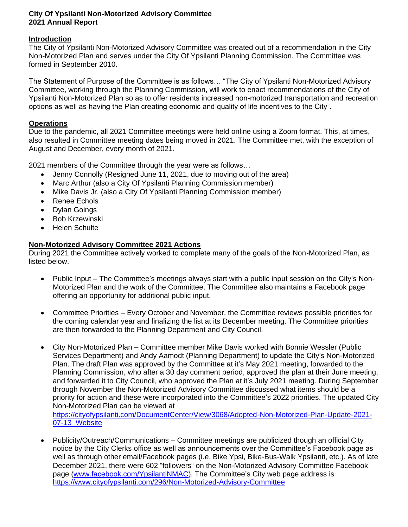## **City Of Ypsilanti Non-Motorized Advisory Committee 2021 Annual Report**

## **Introduction**

The City of Ypsilanti Non-Motorized Advisory Committee was created out of a recommendation in the City Non-Motorized Plan and serves under the City Of Ypsilanti Planning Commission. The Committee was formed in September 2010.

The Statement of Purpose of the Committee is as follows… "The City of Ypsilanti Non-Motorized Advisory Committee, working through the Planning Commission, will work to enact recommendations of the City of Ypsilanti Non-Motorized Plan so as to offer residents increased non-motorized transportation and recreation options as well as having the Plan creating economic and quality of life incentives to the City".

## **Operations**

Due to the pandemic, all 2021 Committee meetings were held online using a Zoom format. This, at times, also resulted in Committee meeting dates being moved in 2021. The Committee met, with the exception of August and December, every month of 2021.

2021 members of the Committee through the year were as follows…

- Jenny Connolly (Resigned June 11, 2021, due to moving out of the area)
- Marc Arthur (also a City Of Ypsilanti Planning Commission member)
- Mike Davis Jr. (also a City Of Ypsilanti Planning Commission member)
- Renee Echols
- Dylan Goings
- Bob Krzewinski
- Helen Schulte

## **Non-Motorized Advisory Committee 2021 Actions**

During 2021 the Committee actively worked to complete many of the goals of the Non-Motorized Plan, as listed below.

- Public Input The Committee's meetings always start with a public input session on the City's Non-Motorized Plan and the work of the Committee. The Committee also maintains a Facebook page offering an opportunity for additional public input.
- Committee Priorities Every October and November, the Committee reviews possible priorities for the coming calendar year and finalizing the list at its December meeting. The Committee priorities are then forwarded to the Planning Department and City Council.
- City Non-Motorized Plan Committee member Mike Davis worked with Bonnie Wessler (Public Services Department) and Andy Aamodt (Planning Department) to update the City's Non-Motorized Plan. The draft Plan was approved by the Committee at it's May 2021 meeting, forwarded to the Planning Commission, who after a 30 day comment period, approved the plan at their June meeting, and forwarded it to City Council, who approved the Plan at it's July 2021 meeting. During September through November the Non-Motorized Advisory Committee discussed what items should be a priority for action and these were incorporated into the Committee's 2022 priorities. The updated City Non-Motorized Plan can be viewed at

[https://cityofypsilanti.com/DocumentCenter/View/3068/Adopted-Non-Motorized-Plan-Update-2021-](https://cityofypsilanti.com/DocumentCenter/View/3068/Adopted-Non-Motorized-Plan-Update-2021-07-13_Website) 07-13 Website

• Publicity/Outreach/Communications – Committee meetings are publicized though an official City notice by the City Clerks office as well as announcements over the Committee's Facebook page as well as through other email/Facebook pages (i.e. Bike Ypsi, Bike-Bus-Walk Ypsilanti, etc.). As of late December 2021, there were 602 "followers" on the Non-Motorized Advisory Committee Facebook page [\(www.facebook.com/YpsilantiNMAC\)](http://www.facebook.com/YpsilantiNMAC). The Committee's City web page address is <https://www.cityofypsilanti.com/296/Non-Motorized-Advisory-Committee>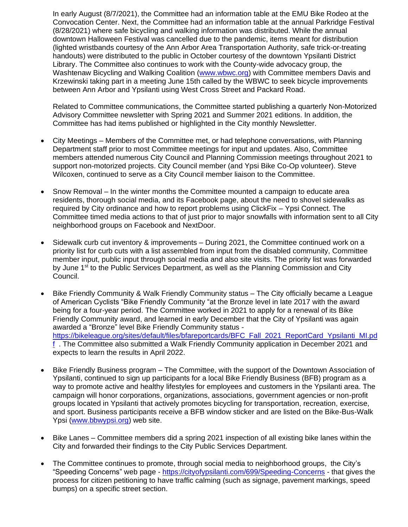In early August (8/7/2021), the Committee had an information table at the EMU Bike Rodeo at the Convocation Center. Next, the Committee had an information table at the annual Parkridge Festival (8/28/2021) where safe bicycling and walking information was distributed. While the annual downtown Halloween Festival was cancelled due to the pandemic, items meant for distribution (lighted wristbands courtesy of the Ann Arbor Area Transportation Authority, safe trick-or-treating handouts) were distributed to the public in October courtesy of the downtown Ypsilanti District Library. The Committee also continues to work with the County-wide advocacy group, the Washtenaw Bicycling and Walking Coalition [\(www.wbwc.org\)](http://www.wbwc.org/) with Committee members Davis and Krzewinski taking part in a meeting June 15th called by the WBWC to seek bicycle improvements between Ann Arbor and Ypsilanti using West Cross Street and Packard Road.

Related to Committee communications, the Committee started publishing a quarterly Non-Motorized Advisory Committee newsletter with Spring 2021 and Summer 2021 editions. In addition, the Committee has had items published or highlighted in the City monthly Newsletter.

- City Meetings Members of the Committee met, or had telephone conversations, with Planning Department staff prior to most Committee meetings for input and updates. Also, Committee members attended numerous City Council and Planning Commission meetings throughout 2021 to support non-motorized projects. City Council member (and Ypsi Bike Co-Op volunteer). Steve Wilcoxen, continued to serve as a City Council member liaison to the Committee.
- Snow Removal In the winter months the Committee mounted a campaign to educate area residents, thorough social media, and its Facebook page, about the need to shovel sidewalks as required by City ordinance and how to report problems using ClickFix – Ypsi Connect. The Committee timed media actions to that of just prior to major snowfalls with information sent to all City neighborhood groups on Facebook and NextDoor.
- Sidewalk curb cut inventory & improvements During 2021, the Committee continued work on a priority list for curb cuts with a list assembled from input from the disabled community, Committee member input, public input through social media and also site visits. The priority list was forwarded by June 1<sup>st</sup> to the Public Services Department, as well as the Planning Commission and City Council.
- Bike Friendly Community & Walk Friendly Community status The City officially became a League of American Cyclists "Bike Friendly Community "at the Bronze level in late 2017 with the award being for a four-year period. The Committee worked in 2021 to apply for a renewal of its Bike Friendly Community award, and learned in early December that the City of Ypsilanti was again awarded a "Bronze" level Bike Friendly Community status [https://bikeleague.org/sites/default/files/bfareportcards/BFC\\_Fall\\_2021\\_ReportCard\\_Ypsilanti\\_MI.pd](https://bikeleague.org/sites/default/files/bfareportcards/BFC_Fall_2021_ReportCard_Ypsilanti_MI.pdf) [f](https://bikeleague.org/sites/default/files/bfareportcards/BFC_Fall_2021_ReportCard_Ypsilanti_MI.pdf) . The Committee also submitted a Walk Friendly Community application in December 2021 and expects to learn the results in April 2022.
- Bike Friendly Business program The Committee, with the support of the Downtown Association of Ypsilanti, continued to sign up participants for a local Bike Friendly Business (BFB) program as a way to promote active and healthy lifestyles for employees and customers in the Ypsilanti area. The campaign will honor corporations, organizations, associations, government agencies or non-profit groups located in Ypsilanti that actively promotes bicycling for transportation, recreation, exercise, and sport. Business participants receive a BFB window sticker and are listed on the Bike-Bus-Walk Ypsi [\(www.bbwypsi.org\)](http://www.bbwypsi.org/) web site.
- Bike Lanes Committee members did a spring 2021 inspection of all existing bike lanes within the City and forwarded their findings to the City Public Services Department.
- The Committee continues to promote, through social media to neighborhood groups, the City's "Speeding Concerns" web page - <https://cityofypsilanti.com/699/Speeding-Concerns> - that gives the process for citizen petitioning to have traffic calming (such as signage, pavement markings, speed bumps) on a specific street section.